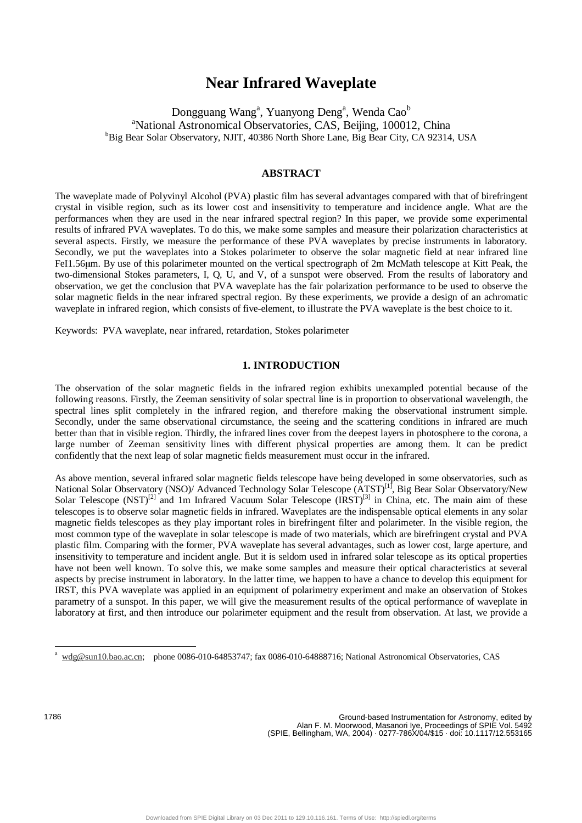# **Near Infrared Waveplate**

Dongguang Wang<sup>a</sup>, Yuanyong Deng<sup>a</sup>, Wenda Cao<sup>b</sup> <sup>a</sup> National Astronomical Observatories, CAS, Beijing, 100012, China<br><sup>b</sup> Big Boar Solar Observatory, NUT, 40386 North Shore Lane, Big Boar Gity, GA 02314 <sup>b</sup>Big Bear Solar Observatory, NJIT, 40386 North Shore Lane, Big Bear City, CA 92314, USA

## **ABSTRACT**

The waveplate made of Polyvinyl Alcohol (PVA) plastic film has several advantages compared with that of birefringent crystal in visible region, such as its lower cost and insensitivity to temperature and incidence angle. What are the performances when they are used in the near infrared spectral region? In this paper, we provide some experimental results of infrared PVA waveplates. To do this, we make some samples and measure their polarization characteristics at several aspects. Firstly, we measure the performance of these PVA waveplates by precise instruments in laboratory. Secondly, we put the waveplates into a Stokes polarimeter to observe the solar magnetic field at near infrared line FeI1.56µm. By use of this polarimeter mounted on the vertical spectrograph of 2m McMath telescope at Kitt Peak, the two-dimensional Stokes parameters, I, Q, U, and V, of a sunspot were observed. From the results of laboratory and observation, we get the conclusion that PVA waveplate has the fair polarization performance to be used to observe the solar magnetic fields in the near infrared spectral region. By these experiments, we provide a design of an achromatic waveplate in infrared region, which consists of five-element, to illustrate the PVA waveplate is the best choice to it.

Keywords: PVA waveplate, near infrared, retardation, Stokes polarimeter

## **1. INTRODUCTION**

The observation of the solar magnetic fields in the infrared region exhibits unexampled potential because of the following reasons. Firstly, the Zeeman sensitivity of solar spectral line is in proportion to observational wavelength, the spectral lines split completely in the infrared region, and therefore making the observational instrument simple. Secondly, under the same observational circumstance, the seeing and the scattering conditions in infrared are much better than that in visible region. Thirdly, the infrared lines cover from the deepest layers in photosphere to the corona, a large number of Zeeman sensitivity lines with different physical properties are among them. It can be predict confidently that the next leap of solar magnetic fields measurement must occur in the infrared.

As above mention, several infrared solar magnetic fields telescope have being developed in some observatories, such as National Solar Observatory (NSO)/ Advanced Technology Solar Telescope (ATST)<sup>[1]</sup>, Big Bear Solar Observatory/New Solar Telescope  $(NST)^{[2]}$  and 1m Infrared Vacuum Solar Telescope  $(IRST)^{[3]}$  in China, etc. The main aim of these telescopes is to observe solar magnetic fields in infrared. Waveplates are the indispensable optical elements in any solar magnetic fields telescopes as they play important roles in birefringent filter and polarimeter. In the visible region, the most common type of the waveplate in solar telescope is made of two materials, which are birefringent crystal and PVA plastic film. Comparing with the former, PVA waveplate has several advantages, such as lower cost, large aperture, and insensitivity to temperature and incident angle. But it is seldom used in infrared solar telescope as its optical properties have not been well known. To solve this, we make some samples and measure their optical characteristics at several aspects by precise instrument in laboratory. In the latter time, we happen to have a chance to develop this equipment for IRST, this PVA waveplate was applied in an equipment of polarimetry experiment and make an observation of Stokes parametry of a sunspot. In this paper, we will give the measurement results of the optical performance of waveplate in laboratory at first, and then introduce our polarimeter equipment and the result from observation. At last, we provide a

-

wdg@sun10.bao.ac.cn; phone 0086-010-64853747; fax 0086-010-64888716; National Astronomical Observatories, CAS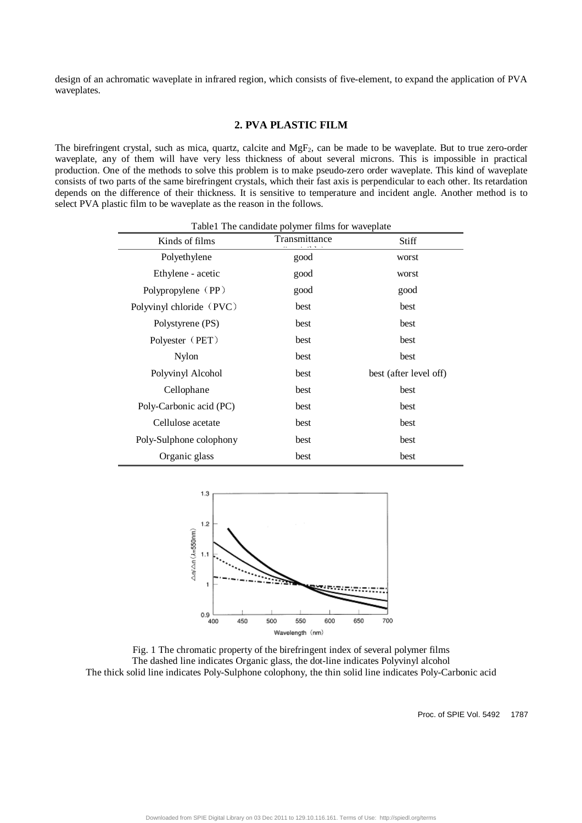design of an achromatic waveplate in infrared region, which consists of five-element, to expand the application of PVA waveplates.

# **2. PVA PLASTIC FILM**

The birefringent crystal, such as mica, quartz, calcite and  $MgF<sub>2</sub>$ , can be made to be waveplate. But to true zero-order waveplate, any of them will have very less thickness of about several microns. This is impossible in practical production. One of the methods to solve this problem is to make pseudo-zero order waveplate. This kind of waveplate consists of two parts of the same birefringent crystals, which their fast axis is perpendicular to each other. Its retardation depends on the difference of their thickness. It is sensitive to temperature and incident angle. Another method is to select PVA plastic film to be waveplate as the reason in the follows.

| Kinds of films           | Transmittance | Stiff                  |  |  |
|--------------------------|---------------|------------------------|--|--|
| Polyethylene             | good          | worst                  |  |  |
| Ethylene - acetic        | good          | worst                  |  |  |
| Polypropylene (PP)       | good          | good                   |  |  |
| Polyvinyl chloride (PVC) | best          | best                   |  |  |
| Polystyrene (PS)         | best          | best                   |  |  |
| Polyester (PET)          | best          | best                   |  |  |
| Nylon                    | best          | best                   |  |  |
| Polyvinyl Alcohol        | best          | best (after level off) |  |  |
| Cellophane               | best          | best                   |  |  |
| Poly-Carbonic acid (PC)  | best          | best                   |  |  |
| Cellulose acetate        | best          | best                   |  |  |
| Poly-Sulphone colophony  | best          | best                   |  |  |
| Organic glass            | best          | best                   |  |  |



Fig. 1 The chromatic property of the birefringent index of several polymer films The dashed line indicates Organic glass, the dot-line indicates Polyvinyl alcohol The thick solid line indicates Poly-Sulphone colophony, the thin solid line indicates Poly-Carbonic acid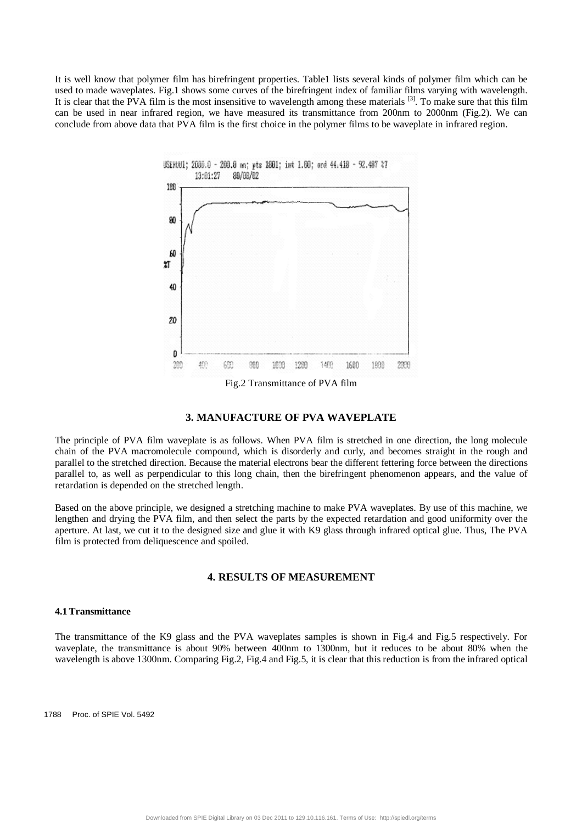It is well know that polymer film has birefringent properties. Table1 lists several kinds of polymer film which can be used to made waveplates. Fig.1 shows some curves of the birefringent index of familiar films varying with wavelength. It is clear that the PVA film is the most insensitive to wavelength among these materials [3]. To make sure that this film can be used in near infrared region, we have measured its transmittance from 200nm to 2000nm (Fig.2). We can conclude from above data that PVA film is the first choice in the polymer films to be waveplate in infrared region.



### **3. MANUFACTURE OF PVA WAVEPLATE**

The principle of PVA film waveplate is as follows. When PVA film is stretched in one direction, the long molecule chain of the PVA macromolecule compound, which is disorderly and curly, and becomes straight in the rough and parallel to the stretched direction. Because the material electrons bear the different fettering force between the directions parallel to, as well as perpendicular to this long chain, then the birefringent phenomenon appears, and the value of retardation is depended on the stretched length.

Based on the above principle, we designed a stretching machine to make PVA waveplates. By use of this machine, we lengthen and drying the PVA film, and then select the parts by the expected retardation and good uniformity over the aperture. At last, we cut it to the designed size and glue it with K9 glass through infrared optical glue. Thus, The PVA film is protected from deliquescence and spoiled.

## **4. RESULTS OF MEASUREMENT**

#### **4.1 Transmittance**

The transmittance of the K9 glass and the PVA waveplates samples is shown in Fig.4 and Fig.5 respectively. For waveplate, the transmittance is about 90% between 400nm to 1300nm, but it reduces to be about 80% when the wavelength is above 1300nm. Comparing Fig.2, Fig.4 and Fig.5, it is clear that this reduction is from the infrared optical

1788 Proc. of SPIE Vol. 5492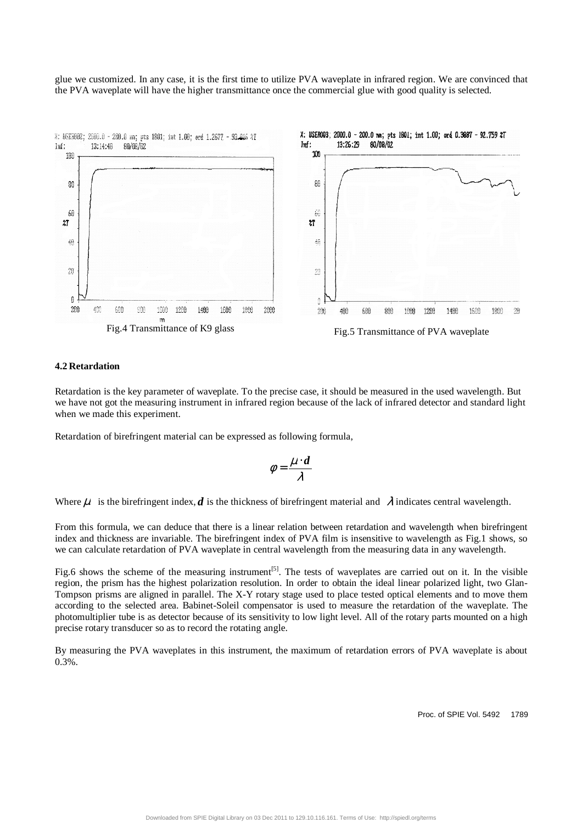glue we customized. In any case, it is the first time to utilize PVA waveplate in infrared region. We are convinced that the PVA waveplate will have the higher transmittance once the commercial glue with good quality is selected.



### **4.2 Retardation**

Retardation is the key parameter of waveplate. To the precise case, it should be measured in the used wavelength. But we have not got the measuring instrument in infrared region because of the lack of infrared detector and standard light when we made this experiment.

Retardation of birefringent material can be expressed as following formula,

$$
\phi = \frac{\mu \cdot d}{\lambda}
$$

Where  $\mu$  is the birefringent index, *d* is the thickness of birefringent material and  $\lambda$  indicates central wavelength.

From this formula, we can deduce that there is a linear relation between retardation and wavelength when birefringent index and thickness are invariable. The birefringent index of PVA film is insensitive to wavelength as Fig.1 shows, so we can calculate retardation of PVA waveplate in central wavelength from the measuring data in any wavelength.

Fig.6 shows the scheme of the measuring instrument<sup>[5]</sup>. The tests of waveplates are carried out on it. In the visible region, the prism has the highest polarization resolution. In order to obtain the ideal linear polarized light, two Glan-Tompson prisms are aligned in parallel. The X-Y rotary stage used to place tested optical elements and to move them according to the selected area. Babinet-Soleil compensator is used to measure the retardation of the waveplate. The photomultiplier tube is as detector because of its sensitivity to low light level. All of the rotary parts mounted on a high precise rotary transducer so as to record the rotating angle.

By measuring the PVA waveplates in this instrument, the maximum of retardation errors of PVA waveplate is about 0.3%.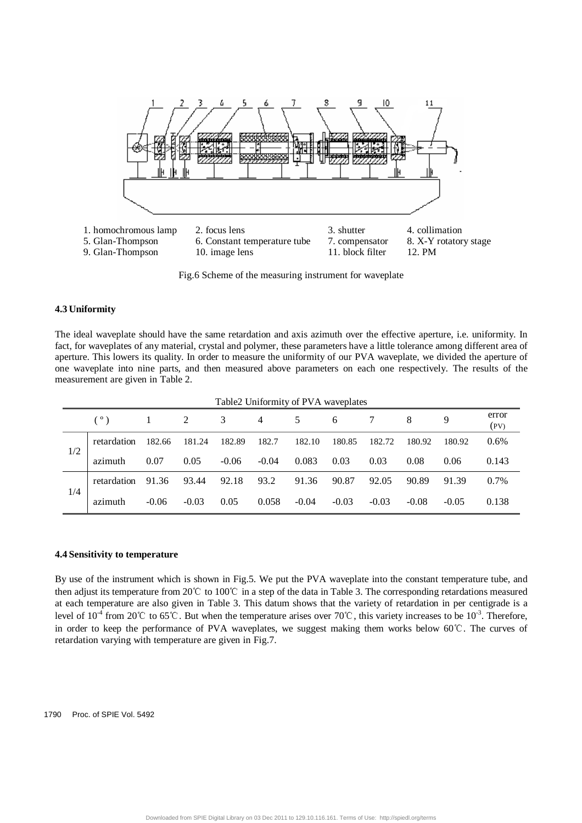

Fig.6 Scheme of the measuring instrument for waveplate

#### **4.3 Uniformity**

The ideal waveplate should have the same retardation and axis azimuth over the effective aperture, i.e. uniformity. In fact, for waveplates of any material, crystal and polymer, these parameters have a little tolerance among different area of aperture. This lowers its quality. In order to measure the uniformity of our PVA waveplate, we divided the aperture of one waveplate into nine parts, and then measured above parameters on each one respectively. The results of the measurement are given in Table 2.

| Table2 Uniformity of PVA waveplates |             |         |         |         |         |         |         |         |         |         |               |
|-------------------------------------|-------------|---------|---------|---------|---------|---------|---------|---------|---------|---------|---------------|
|                                     |             |         | 2       | 3       | 4       | 5       | 6       |         | 8       | 9       | error<br>(PV) |
| 1/2                                 | retardation | 182.66  | 181.24  | 182.89  | 182.7   | 182.10  | 180.85  | 182.72  | 180.92  | 180.92  | $0.6\%$       |
|                                     | azimuth     | 0.07    | 0.05    | $-0.06$ | $-0.04$ | 0.083   | 0.03    | 0.03    | 0.08    | 0.06    | 0.143         |
| 1/4                                 | retardation | 91.36   | 93.44   | 92.18   | 93.2    | 91.36   | 90.87   | 92.05   | 90.89   | 91.39   | $0.7\%$       |
|                                     | azimuth     | $-0.06$ | $-0.03$ | 0.05    | 0.058   | $-0.04$ | $-0.03$ | $-0.03$ | $-0.08$ | $-0.05$ | 0.138         |

## **4.4 Sensitivity to temperature**

By use of the instrument which is shown in Fig.5. We put the PVA waveplate into the constant temperature tube, and then adjust its temperature from 20℃ to 100℃ in a step of the data in Table 3. The corresponding retardations measured at each temperature are also given in Table 3. This datum shows that the variety of retardation in per centigrade is a level of  $10^{-4}$  from  $20^{\circ}$  to  $65^{\circ}$ . But when the temperature arises over  $70^{\circ}$ , this variety increases to be  $10^{-3}$ . Therefore, in order to keep the performance of PVA waveplates, we suggest making them works below 60℃. The curves of retardation varying with temperature are given in Fig.7.

#### 1790 Proc. of SPIE Vol. 5492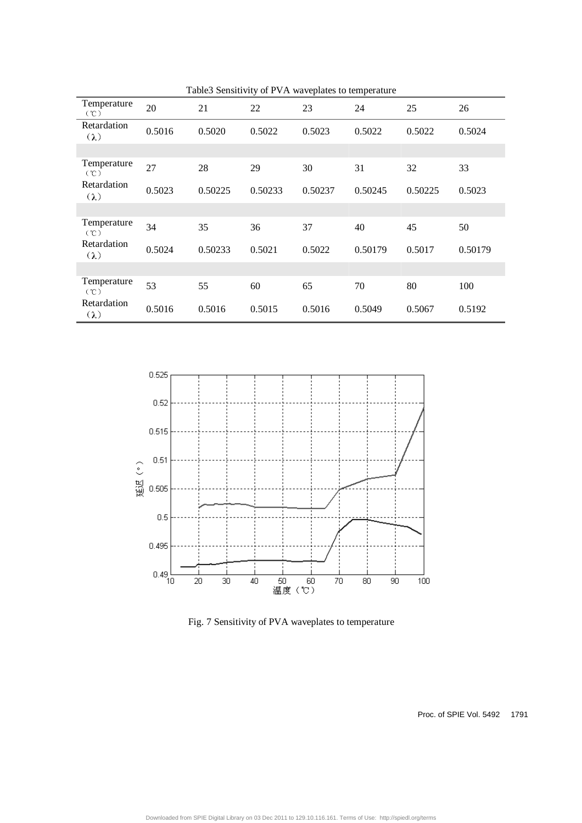| Table3 Sensitivity of PVA waveplates to temperature |        |         |         |         |         |         |         |
|-----------------------------------------------------|--------|---------|---------|---------|---------|---------|---------|
| Temperature<br>$({\degree}C)$                       | 20     | 21      | 22      | 23      | 24      | 25      | 26      |
| Retardation<br>$(\lambda)$                          | 0.5016 | 0.5020  | 0.5022  | 0.5023  | 0.5022  | 0.5022  | 0.5024  |
|                                                     |        |         |         |         |         |         |         |
| Temperature<br>$({\cal C})$                         | 27     | 28      | 29      | 30      | 31      | 32      | 33      |
| Retardation<br>$(\lambda)$                          | 0.5023 | 0.50225 | 0.50233 | 0.50237 | 0.50245 | 0.50225 | 0.5023  |
|                                                     |        |         |         |         |         |         |         |
| Temperature<br>$({\cal C})$                         | 34     | 35      | 36      | 37      | 40      | 45      | 50      |
| Retardation<br>$(\lambda)$                          | 0.5024 | 0.50233 | 0.5021  | 0.5022  | 0.50179 | 0.5017  | 0.50179 |
|                                                     |        |         |         |         |         |         |         |
| Temperature<br>$({\cal C})$                         | 53     | 55      | 60      | 65      | 70      | 80      | 100     |
| Retardation<br>$(\lambda)$                          | 0.5016 | 0.5016  | 0.5015  | 0.5016  | 0.5049  | 0.5067  | 0.5192  |
|                                                     |        |         |         |         |         |         |         |

 $0.525$  $0.52$ 0.515  $0.51$ 延迟(°)  $0.505$  $0.5$  $0.495$  $0.49$ <sub>10</sub> 50 60<br>温度 (℃) 40  $20\,$  $30\,$  $70\,$  $80\,$  $90\,$ 100

Fig. 7 Sensitivity of PVA waveplates to temperature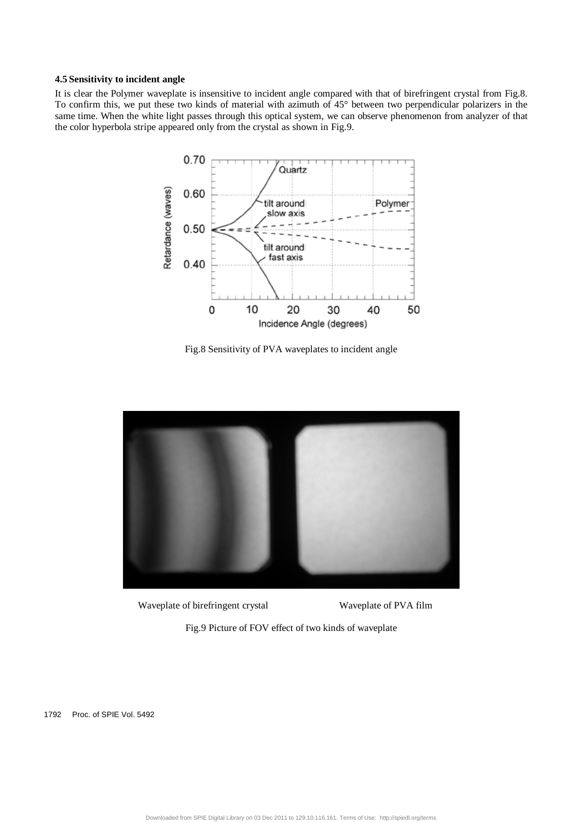## **4.5 Sensitivity to incident angle**

It is clear the Polymer waveplate is insensitive to incident angle compared with that of birefringent crystal from Fig.8. To confirm this, we put these two kinds of material with azimuth of 45° between two perpendicular polarizers in the same time. When the white light passes through this optical system, we can observe phenomenon from analyzer of that the color hyperbola stripe appeared only from the crystal as shown in Fig.9.



Fig.8 Sensitivity of PVA waveplates to incident angle



Waveplate of birefringent crystal Waveplate of PVA film

Fig.9 Picture of FOV effect of two kinds of waveplate

1792 Proc. of SPIE Vol. 5492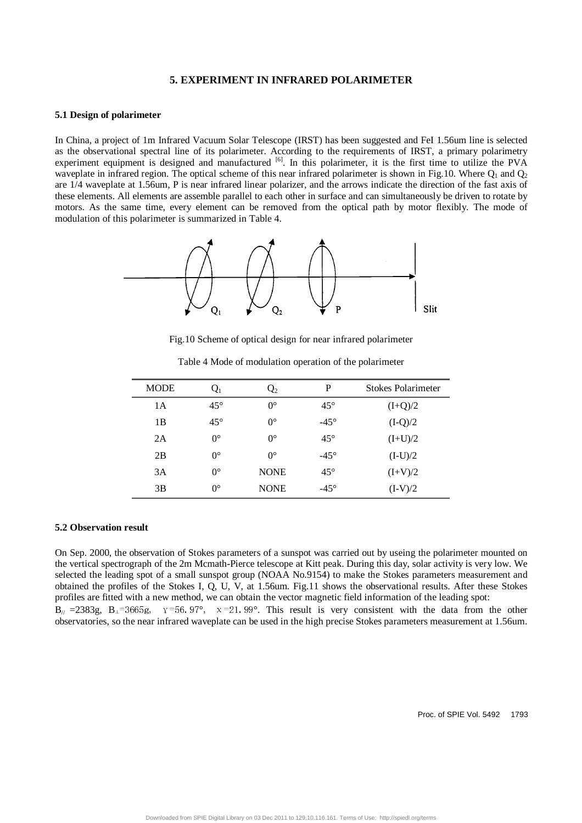## **5. EXPERIMENT IN INFRARED POLARIMETER**

#### **5.1 Design of polarimeter**

In China, a project of 1m Infrared Vacuum Solar Telescope (IRST) has been suggested and FeI 1.56um line is selected as the observational spectral line of its polarimeter. According to the requirements of IRST, a primary polarimetry experiment equipment is designed and manufactured <sup>[6]</sup>. In this polarimeter, it is the first time to utilize the PVA waveplate in infrared region. The optical scheme of this near infrared polarimeter is shown in Fig.10. Where  $Q_1$  and  $Q_2$ are 1/4 waveplate at 1.56um, P is near infrared linear polarizer, and the arrows indicate the direction of the fast axis of these elements. All elements are assemble parallel to each other in surface and can simultaneously be driven to rotate by motors. As the same time, every element can be removed from the optical path by motor flexibly. The mode of modulation of this polarimeter is summarized in Table 4.



Fig.10 Scheme of optical design for near infrared polarimeter

| <b>MODE</b> | Q1           | $Q_{2}$     | P            | Stokes Polarimeter |
|-------------|--------------|-------------|--------------|--------------------|
| 1 A         | $45^{\circ}$ | $0^{\circ}$ | $45^{\circ}$ | $(I+Q)/2$          |
| 1B          | $45^{\circ}$ | $0^{\circ}$ | $-45^\circ$  | $(I-Q)/2$          |
| 2A          | $0^{\circ}$  | $0^{\circ}$ | $45^{\circ}$ | $(I+U)/2$          |
| 2B          | $0^{\circ}$  | $0^{\circ}$ | $-45^\circ$  | $(I-U)/2$          |
| 3A          | $0^{\circ}$  | <b>NONE</b> | $45^{\circ}$ | $(I+V)/2$          |
| 3B          | $0^{\circ}$  | <b>NONE</b> | $-45^\circ$  | $(I-V)/2$          |

Table 4 Mode of modulation operation of the polarimeter

#### **5.2 Observation result**

On Sep. 2000, the observation of Stokes parameters of a sunspot was carried out by useing the polarimeter mounted on the vertical spectrograph of the 2m Mcmath-Pierce telescope at Kitt peak. During this day, solar activity is very low. We selected the leading spot of a small sunspot group (NOAA No.9154) to make the Stokes parameters measurement and obtained the profiles of the Stokes I, Q, U, V, at 1.56um. Fig.11 shows the observational results. After these Stokes profiles are fitted with a new method, we can obtain the vector magnetic field information of the leading spot:  $B_{\text{/}1}$  =2383g,  $B_{\text{1}}$ =3665g,  $\gamma$ =56.97°,  $\chi$ =21.99°. This result is very consistent with the data from the other observatories, so the near infrared waveplate can be used in the high precise Stokes parameters measurement at 1.56um.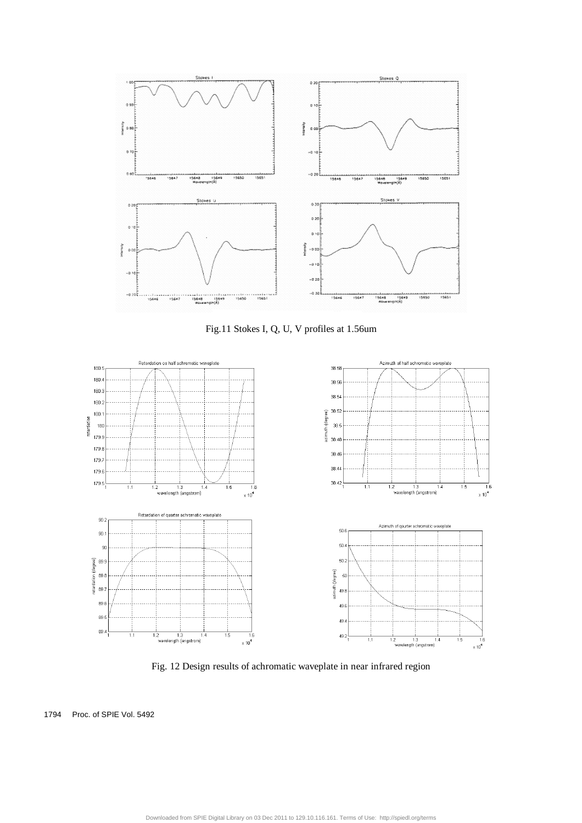

Fig.11 Stokes I, Q, U, V profiles at 1.56um



Fig. 12 Design results of achromatic waveplate in near infrared region